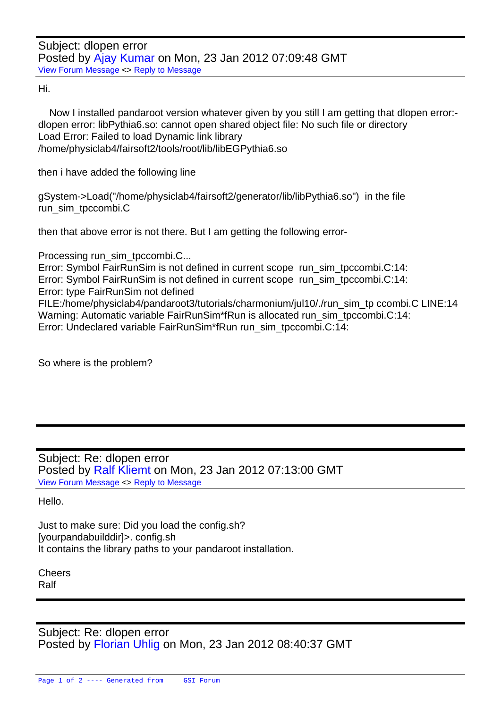Hi.

 [Now I installed p](https://forum.gsi.de/index.php?t=rview&th=3439&goto=12949#msg_12949)a[ndaroot version](https://forum.gsi.de/index.php?t=post&reply_to=12949) whatever given by you still I am getting that dlopen error: dlopen error: libPythia6.so: cannot open shared object file: No such file or directory Load Error: Failed to load Dynamic link library /home/physiclab4/fairsoft2/tools/root/lib/libEGPythia6.so

then i have added the following line

gSystem->Load("/home/physiclab4/fairsoft2/generator/lib/libPythia6.so") in the file run\_sim\_tpccombi.C

then that above error is not there. But I am getting the following error-

Processing run\_sim\_tpccombi.C...

Error: Symbol FairRunSim is not defined in current scope run\_sim\_tpccombi.C:14: Error: Symbol FairRunSim is not defined in current scope run\_sim\_tpccombi.C:14: Error: type FairRunSim not defined FILE:/home/physiclab4/pandaroot3/tutorials/charmonium/jul10/./run\_sim\_tp ccombi.C LINE:14 Warning: Automatic variable FairRunSim\*fRun is allocated run\_sim\_tpccombi.C:14:

Error: Undeclared variable FairRunSim\*fRun run\_sim\_tpccombi.C:14:

So where is the problem?

Subject: Re: dlopen error Posted by Ralf Kliemt on Mon, 23 Jan 2012 07:13:00 GMT View Forum Message <> Reply to Message

Hello.

[Just to make sure:](https://forum.gsi.de/index.php?t=rview&th=3439&goto=12950#msg_12950) Di[d you load the c](https://forum.gsi.de/index.php?t=post&reply_to=12950)onfig.sh? [yourpandabuilddir]>. config.sh It contains the library paths to your pandaroot installation.

Cheers Ralf

Subject: Re: dlopen error Posted by Florian Uhlig on Mon, 23 Jan 2012 08:40:37 GMT